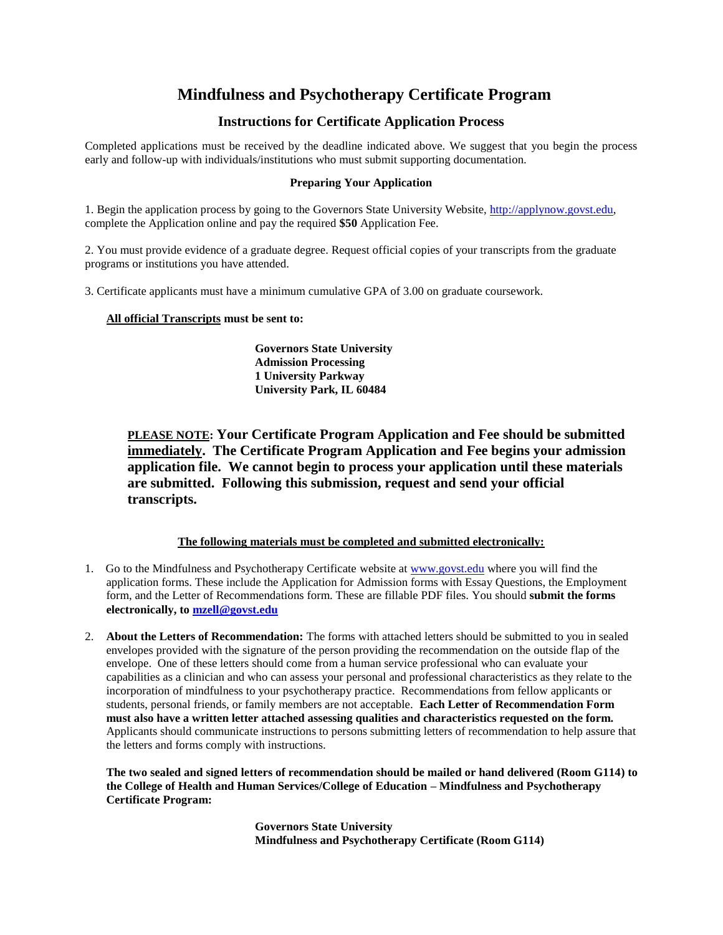# **Mindfulness and Psychotherapy Certificate Program**

## **Instructions for Certificate Application Process**

Completed applications must be received by the deadline indicated above. We suggest that you begin the process early and follow-up with individuals/institutions who must submit supporting documentation.

### **Preparing Your Application**

1. Begin the application process by going to the Governors State University Website, [http://applynow.govst.edu,](http://applynow.govst.edu/) complete the Application online and pay the required **\$50** Application Fee.

2. You must provide evidence of a graduate degree. Request official copies of your transcripts from the graduate programs or institutions you have attended.

3. Certificate applicants must have a minimum cumulative GPA of 3.00 on graduate coursework.

**All official Transcripts must be sent to:**

**Governors State University Admission Processing 1 University Parkway University Park, IL 60484**

**PLEASE NOTE: Your Certificate Program Application and Fee should be submitted immediately. The Certificate Program Application and Fee begins your admission application file. We cannot begin to process your application until these materials are submitted. Following this submission, request and send your official transcripts.**

#### **The following materials must be completed and submitted electronically:**

- 1. Go to the Mindfulness and Psychotherapy Certificate website a[t www.govst.edu](http://www.govst.edu/) where you will find the application forms. These include the Application for Admission forms with Essay Questions, the Employment form, and the Letter of Recommendations form. These are fillable PDF files. You should **submit the forms electronically, to [mzell@govst.edu](mailto:mzell@govst.edu)**
- 2. **About the Letters of Recommendation:** The forms with attached letters should be submitted to you in sealed envelopes provided with the signature of the person providing the recommendation on the outside flap of the envelope. One of these letters should come from a human service professional who can evaluate your capabilities as a clinician and who can assess your personal and professional characteristics as they relate to the incorporation of mindfulness to your psychotherapy practice. Recommendations from fellow applicants or students, personal friends, or family members are not acceptable. **Each Letter of Recommendation Form must also have a written letter attached assessing qualities and characteristics requested on the form.**  Applicants should communicate instructions to persons submitting letters of recommendation to help assure that the letters and forms comply with instructions.

**The two sealed and signed letters of recommendation should be mailed or hand delivered (Room G114) to the College of Health and Human Services/College of Education – Mindfulness and Psychotherapy Certificate Program:** 

> **Governors State University Mindfulness and Psychotherapy Certificate (Room G114)**